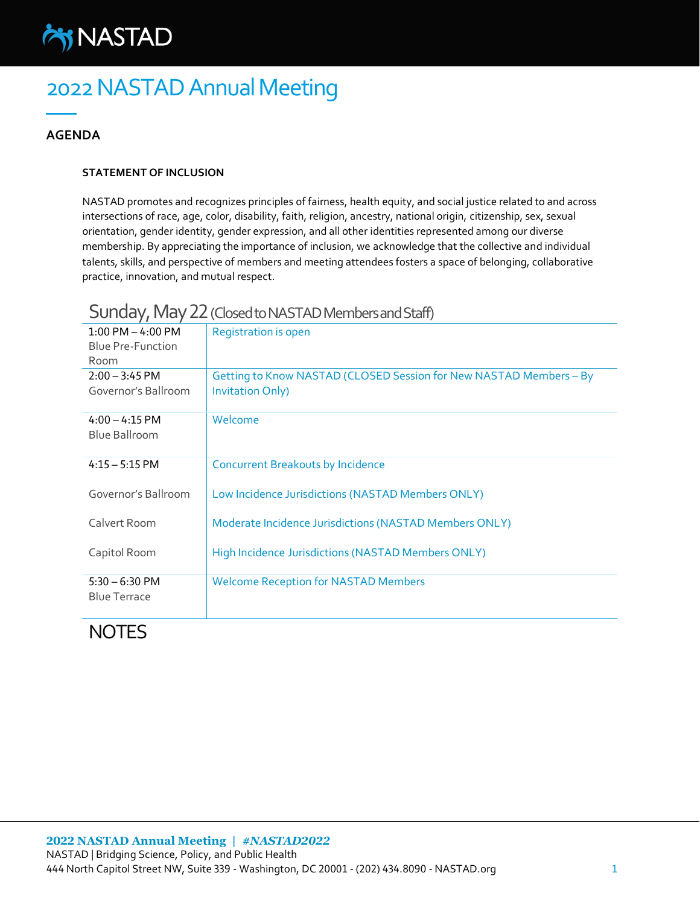

#### **AGENDA**

#### **STATEMENT OF INCLUSION**

NASTAD promotes and recognizes principles of fairness, health equity, and social justice related to and across intersections of race, age, color, disability, faith, religion, ancestry, national origin, citizenship, sex, sexual orientation, gender identity, gender expression, and all other identities represented among our diverse membership. By appreciating the importance of inclusion, we acknowledge that the collective and individual talents, skills, and perspective of members and meeting attendees fosters a space of belonging, collaborative practice, innovation, and mutual respect.

### Sunday, May 22 (Closed to NASTAD Members and Staff)

| $1:00$ PM $-$ 4:00 PM<br><b>Blue Pre-Function</b><br>Room | <b>Registration is open</b>                                                                   |
|-----------------------------------------------------------|-----------------------------------------------------------------------------------------------|
| $2:00 - 3:45$ PM<br>Governor's Ballroom                   | Getting to Know NASTAD (CLOSED Session for New NASTAD Members - By<br><b>Invitation Only)</b> |
| $4:00 - 4:15 \text{ PM}$<br>Blue Ballroom                 | Welcome                                                                                       |
| $4:15 - 5:15$ PM                                          | <b>Concurrent Breakouts by Incidence</b>                                                      |
| Governor's Ballroom                                       | Low Incidence Jurisdictions (NASTAD Members ONLY)                                             |
| Calvert Room                                              | Moderate Incidence Jurisdictions (NASTAD Members ONLY)                                        |
| Capitol Room                                              | High Incidence Jurisdictions (NASTAD Members ONLY)                                            |
| $5:30 - 6:30$ PM<br><b>Blue Terrace</b>                   | <b>Welcome Reception for NASTAD Members</b>                                                   |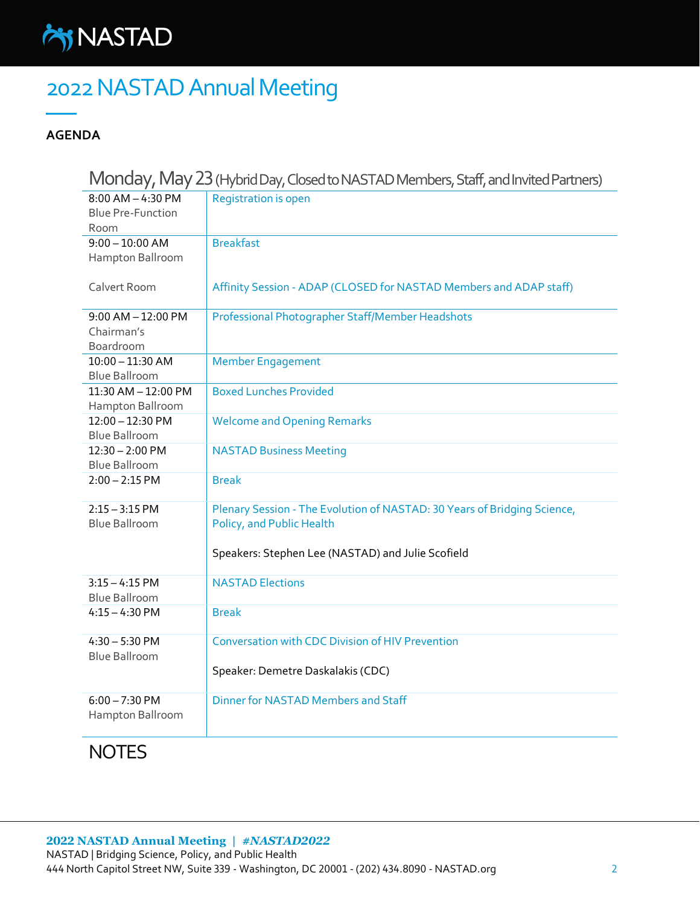

### **AGENDA**

## Monday, May 23 (Hybrid Day, Closed to NASTAD Members, Staff, and Invited Partners)

|                          | $\overline{\phantom{a}}$                                                 |
|--------------------------|--------------------------------------------------------------------------|
| $8:00$ AM $-$ 4:30 PM    | <b>Registration is open</b>                                              |
| <b>Blue Pre-Function</b> |                                                                          |
| Room                     |                                                                          |
| $9:00 - 10:00$ AM        | <b>Breakfast</b>                                                         |
| Hampton Ballroom         |                                                                          |
|                          |                                                                          |
| Calvert Room             | Affinity Session - ADAP (CLOSED for NASTAD Members and ADAP staff)       |
|                          |                                                                          |
| $9:00$ AM $-12:00$ PM    | Professional Photographer Staff/Member Headshots                         |
| Chairman's               |                                                                          |
| Boardroom                |                                                                          |
| $10:00 - 11:30$ AM       | <b>Member Engagement</b>                                                 |
| <b>Blue Ballroom</b>     |                                                                          |
| 11:30 AM - 12:00 PM      | <b>Boxed Lunches Provided</b>                                            |
| Hampton Ballroom         |                                                                          |
| 12:00 - 12:30 PM         | <b>Welcome and Opening Remarks</b>                                       |
| <b>Blue Ballroom</b>     |                                                                          |
| $12:30 - 2:00$ PM        | <b>NASTAD Business Meeting</b>                                           |
| <b>Blue Ballroom</b>     |                                                                          |
| $2:00 - 2:15$ PM         | <b>Break</b>                                                             |
|                          |                                                                          |
| $2:15 - 3:15$ PM         | Plenary Session - The Evolution of NASTAD: 30 Years of Bridging Science, |
| <b>Blue Ballroom</b>     | Policy, and Public Health                                                |
|                          |                                                                          |
|                          | Speakers: Stephen Lee (NASTAD) and Julie Scofield                        |
| $3:15 - 4:15$ PM         | <b>NASTAD Elections</b>                                                  |
| <b>Blue Ballroom</b>     |                                                                          |
| $4:15 - 4:30$ PM         | <b>Break</b>                                                             |
|                          |                                                                          |
| $4:30 - 5:30$ PM         | <b>Conversation with CDC Division of HIV Prevention</b>                  |
| <b>Blue Ballroom</b>     |                                                                          |
|                          | Speaker: Demetre Daskalakis (CDC)                                        |
|                          |                                                                          |
| $6:00 - 7:30$ PM         | <b>Dinner for NASTAD Members and Staff</b>                               |
| Hampton Ballroom         |                                                                          |
|                          |                                                                          |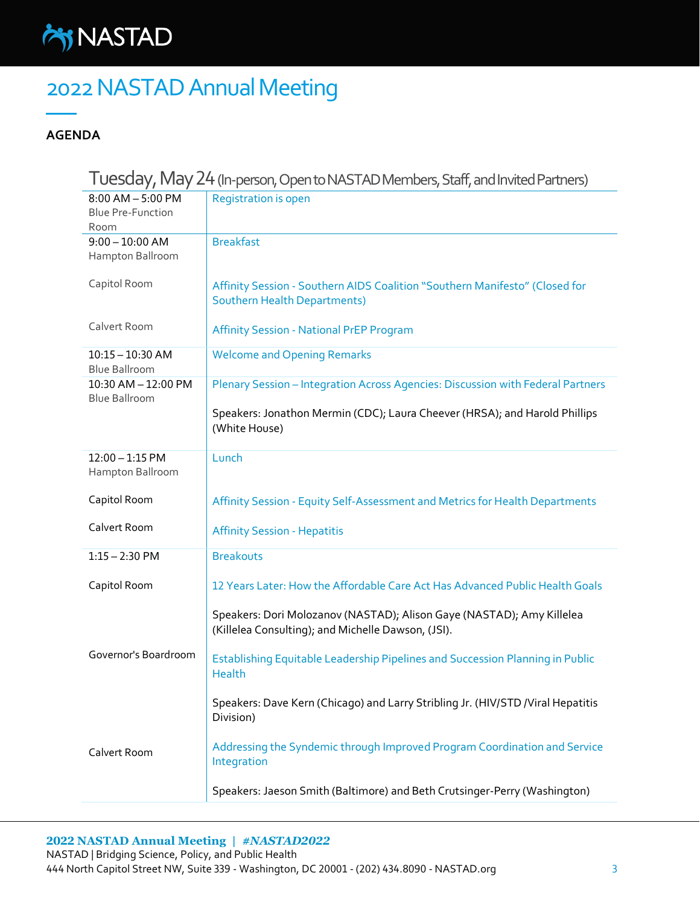

### **AGENDA**

## Tuesday, May 24 (In-person, Open to NASTAD Members, Staff, and Invited Partners)

| $8:00$ AM $-5:00$ PM     | Registration is open                                                            |
|--------------------------|---------------------------------------------------------------------------------|
| <b>Blue Pre-Function</b> |                                                                                 |
| Room                     |                                                                                 |
| $9:00 - 10:00$ AM        | <b>Breakfast</b>                                                                |
|                          |                                                                                 |
| Hampton Ballroom         |                                                                                 |
|                          |                                                                                 |
| Capitol Room             | Affinity Session - Southern AIDS Coalition "Southern Manifesto" (Closed for     |
|                          |                                                                                 |
|                          | <b>Southern Health Departments)</b>                                             |
|                          |                                                                                 |
| Calvert Room             | <b>Affinity Session - National PrEP Program</b>                                 |
|                          |                                                                                 |
| $10:15 - 10:30$ AM       | <b>Welcome and Opening Remarks</b>                                              |
|                          |                                                                                 |
| <b>Blue Ballroom</b>     |                                                                                 |
| 10:30 AM - 12:00 PM      | Plenary Session - Integration Across Agencies: Discussion with Federal Partners |
| <b>Blue Ballroom</b>     |                                                                                 |
|                          | Speakers: Jonathon Mermin (CDC); Laura Cheever (HRSA); and Harold Phillips      |
|                          |                                                                                 |
|                          | (White House)                                                                   |
|                          |                                                                                 |
| $12:00 - 1:15$ PM        | Lunch                                                                           |
| Hampton Ballroom         |                                                                                 |
|                          |                                                                                 |
|                          |                                                                                 |
| Capitol Room             | Affinity Session - Equity Self-Assessment and Metrics for Health Departments    |
|                          |                                                                                 |
| Calvert Room             | <b>Affinity Session - Hepatitis</b>                                             |
|                          |                                                                                 |
| $1:15 - 2:30$ PM         | <b>Breakouts</b>                                                                |
|                          |                                                                                 |
|                          |                                                                                 |
| Capitol Room             | 12 Years Later: How the Affordable Care Act Has Advanced Public Health Goals    |
|                          |                                                                                 |
|                          | Speakers: Dori Molozanov (NASTAD); Alison Gaye (NASTAD); Amy Killelea           |
|                          | (Killelea Consulting); and Michelle Dawson, (JSI).                              |
|                          |                                                                                 |
|                          |                                                                                 |
| Governor's Boardroom     | Establishing Equitable Leadership Pipelines and Succession Planning in Public   |
|                          | <b>Health</b>                                                                   |
|                          |                                                                                 |
|                          |                                                                                 |
|                          | Speakers: Dave Kern (Chicago) and Larry Stribling Jr. (HIV/STD /Viral Hepatitis |
|                          | Division)                                                                       |
|                          |                                                                                 |
|                          | Addressing the Syndemic through Improved Program Coordination and Service       |
| Calvert Room             |                                                                                 |
|                          | Integration                                                                     |
|                          |                                                                                 |
|                          | Speakers: Jaeson Smith (Baltimore) and Beth Crutsinger-Perry (Washington)       |
|                          |                                                                                 |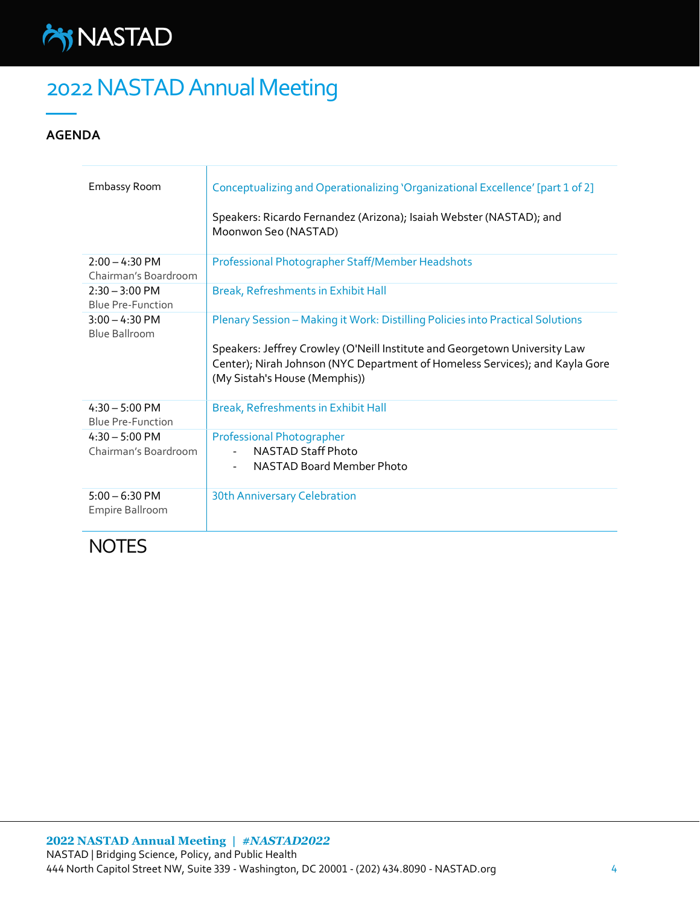

#### **AGENDA**

| Embassy Room                                         | Conceptualizing and Operationalizing 'Organizational Excellence' [part 1 of 2]<br>Speakers: Ricardo Fernandez (Arizona); Isaiah Webster (NASTAD); and<br>Moonwon Seo (NASTAD)                                                                                                 |
|------------------------------------------------------|-------------------------------------------------------------------------------------------------------------------------------------------------------------------------------------------------------------------------------------------------------------------------------|
| $2:00 - 4:30$ PM<br>Chairman's Boardroom             | Professional Photographer Staff/Member Headshots                                                                                                                                                                                                                              |
| $2:30 - 3:00 \text{ PM}$<br><b>Blue Pre-Function</b> | Break, Refreshments in Exhibit Hall                                                                                                                                                                                                                                           |
| $3:00 - 4:30$ PM<br><b>Blue Ballroom</b>             | Plenary Session - Making it Work: Distilling Policies into Practical Solutions<br>Speakers: Jeffrey Crowley (O'Neill Institute and Georgetown University Law<br>Center); Nirah Johnson (NYC Department of Homeless Services); and Kayla Gore<br>(My Sistah's House (Memphis)) |
| $4:30 - 5:00$ PM<br><b>Blue Pre-Function</b>         | Break, Refreshments in Exhibit Hall                                                                                                                                                                                                                                           |
| $4:30 - 5:00$ PM<br>Chairman's Boardroom             | <b>Professional Photographer</b><br><b>NASTAD Staff Photo</b><br>NASTAD Board Member Photo                                                                                                                                                                                    |
| $5:00 - 6:30$ PM<br>Empire Ballroom                  | <b>30th Anniversary Celebration</b>                                                                                                                                                                                                                                           |